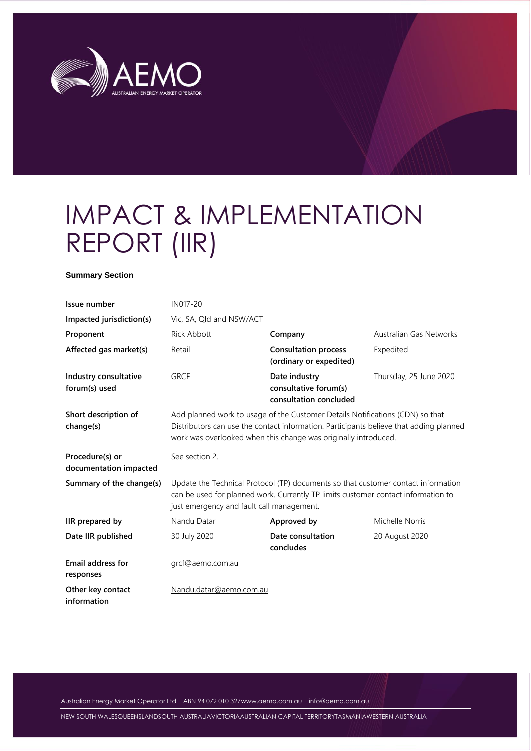

# IMPACT & IMPLEMENTATION REPORT (IIR)

#### **Summary Section**

| Issue number                              | IN017-20                                  |                                                                                                                                                                                                                                            |                         |
|-------------------------------------------|-------------------------------------------|--------------------------------------------------------------------------------------------------------------------------------------------------------------------------------------------------------------------------------------------|-------------------------|
| Impacted jurisdiction(s)                  | Vic, SA, Qld and NSW/ACT                  |                                                                                                                                                                                                                                            |                         |
| Proponent                                 | <b>Rick Abbott</b>                        | Company                                                                                                                                                                                                                                    | Australian Gas Networks |
| Affected gas market(s)                    | Retail                                    | <b>Consultation process</b><br>(ordinary or expedited)                                                                                                                                                                                     | Expedited               |
| Industry consultative<br>forum(s) used    | <b>GRCF</b>                               | Date industry<br>consultative forum(s)<br>consultation concluded                                                                                                                                                                           | Thursday, 25 June 2020  |
| Short description of<br>change(s)         |                                           | Add planned work to usage of the Customer Details Notifications (CDN) so that<br>Distributors can use the contact information. Participants believe that adding planned<br>work was overlooked when this change was originally introduced. |                         |
| Procedure(s) or<br>documentation impacted | See section 2.                            |                                                                                                                                                                                                                                            |                         |
| Summary of the change(s)                  | just emergency and fault call management. | Update the Technical Protocol (TP) documents so that customer contact information<br>can be used for planned work. Currently TP limits customer contact information to                                                                     |                         |
| IIR prepared by                           | Nandu Datar                               | Approved by                                                                                                                                                                                                                                | Michelle Norris         |
| Date IIR published                        | 30 July 2020                              | Date consultation<br>concludes                                                                                                                                                                                                             | 20 August 2020          |
| <b>Email address for</b><br>responses     | grcf@aemo.com.au                          |                                                                                                                                                                                                                                            |                         |
| Other key contact<br>information          | Nandu.datar@aemo.com.au                   |                                                                                                                                                                                                                                            |                         |

Australian Energy Market Operator Ltd ABN 94 072 010 32[7www.aemo.com.au](http://www.aemo.com.au/) [info@aemo.com.au](mailto:info@aemo.com.au)

NEW SOUTH WALESQUEENSLANDSOUTH AUSTRALIAVICTORIAAUSTRALIAN CAPITAL TERRITORYTASMANIAWESTERN AUSTRALIA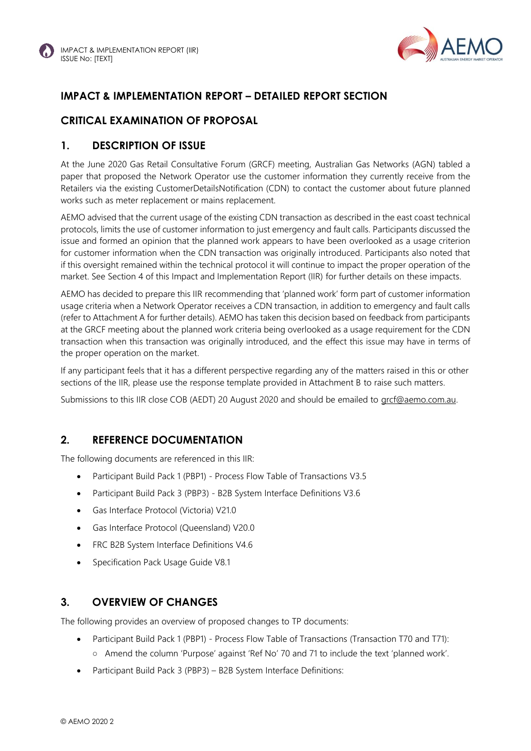

# **IMPACT & IMPLEMENTATION REPORT – DETAILED REPORT SECTION**

# **CRITICAL EXAMINATION OF PROPOSAL**

#### **1. DESCRIPTION OF ISSUE**

At the June 2020 Gas Retail Consultative Forum (GRCF) meeting, Australian Gas Networks (AGN) tabled a paper that proposed the Network Operator use the customer information they currently receive from the Retailers via the existing CustomerDetailsNotification (CDN) to contact the customer about future planned works such as meter replacement or mains replacement.

AEMO advised that the current usage of the existing CDN transaction as described in the east coast technical protocols, limits the use of customer information to just emergency and fault calls. Participants discussed the issue and formed an opinion that the planned work appears to have been overlooked as a usage criterion for customer information when the CDN transaction was originally introduced. Participants also noted that if this oversight remained within the technical protocol it will continue to impact the proper operation of the market. See Section 4 of this Impact and Implementation Report (IIR) for further details on these impacts.

AEMO has decided to prepare this IIR recommending that 'planned work' form part of customer information usage criteria when a Network Operator receives a CDN transaction, in addition to emergency and fault calls (refer to Attachment A for further details). AEMO has taken this decision based on feedback from participants at the GRCF meeting about the planned work criteria being overlooked as a usage requirement for the CDN transaction when this transaction was originally introduced, and the effect this issue may have in terms of the proper operation on the market.

If any participant feels that it has a different perspective regarding any of the matters raised in this or other sections of the IIR, please use the response template provided in Attachment B to raise such matters.

Submissions to this IIR close COB (AEDT) 20 August 2020 and should be emailed to [grcf@aemo.com.au.](mailto:grcf@aemo.com.au) 

#### **2. REFERENCE DOCUMENTATION**

The following documents are referenced in this IIR:

- Participant Build Pack 1 (PBP1) Process Flow Table of Transactions V3.5
- Participant Build Pack 3 (PBP3) B2B System Interface Definitions V3.6
- Gas Interface Protocol (Victoria) V21.0
- Gas Interface Protocol (Queensland) V20.0
- FRC B2B System Interface Definitions V4.6
- Specification Pack Usage Guide V8.1

#### **3. OVERVIEW OF CHANGES**

The following provides an overview of proposed changes to TP documents:

- Participant Build Pack 1 (PBP1) Process Flow Table of Transactions (Transaction T70 and T71):
	- Amend the column 'Purpose' against 'Ref No' 70 and 71 to include the text 'planned work'.
- Participant Build Pack 3 (PBP3) B2B System Interface Definitions: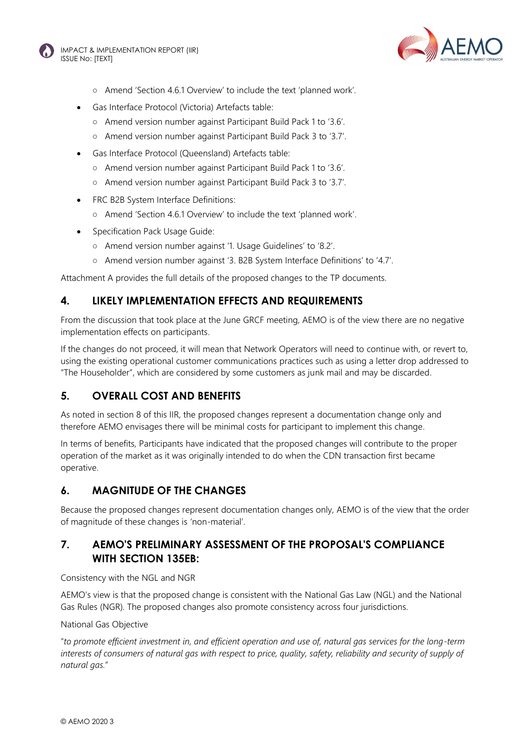



- Amend 'Section 4.6.1 Overview' to include the text 'planned work'.
- Gas Interface Protocol (Victoria) Artefacts table:
	- Amend version number against Participant Build Pack 1 to '3.6'.
	- Amend version number against Participant Build Pack 3 to '3.7'.
- Gas Interface Protocol (Queensland) Artefacts table:
	- Amend version number against Participant Build Pack 1 to '3.6'.
	- Amend version number against Participant Build Pack 3 to '3.7'.
- FRC B2B System Interface Definitions:
	- Amend 'Section 4.6.1 Overview' to include the text 'planned work'.
- Specification Pack Usage Guide:
	- Amend version number against '1. Usage Guidelines' to '8.2'.
	- Amend version number against '3. B2B System Interface Definitions' to '4.7'.

Attachment A provides the full details of the proposed changes to the TP documents.

#### **4. LIKELY IMPLEMENTATION EFFECTS AND REQUIREMENTS**

From the discussion that took place at the June GRCF meeting, AEMO is of the view there are no negative implementation effects on participants.

If the changes do not proceed, it will mean that Network Operators will need to continue with, or revert to, using the existing operational customer communications practices such as using a letter drop addressed to "The Householder", which are considered by some customers as junk mail and may be discarded.

### **5. OVERALL COST AND BENEFITS**

As noted in section 8 of this IIR, the proposed changes represent a documentation change only and therefore AEMO envisages there will be minimal costs for participant to implement this change.

In terms of benefits, Participants have indicated that the proposed changes will contribute to the proper operation of the market as it was originally intended to do when the CDN transaction first became operative.

#### **6. MAGNITUDE OF THE CHANGES**

Because the proposed changes represent documentation changes only, AEMO is of the view that the order of magnitude of these changes is 'non-material'.

#### **7. AEMO'S PRELIMINARY ASSESSMENT OF THE PROPOSAL'S COMPLIANCE WITH SECTION 135EB:**

Consistency with the NGL and NGR

AEMO's view is that the proposed change is consistent with the National Gas Law (NGL) and the National Gas Rules (NGR). The proposed changes also promote consistency across four jurisdictions.

#### National Gas Objective

"*to promote efficient investment in, and efficient operation and use of, natural gas services for the long-term*  interests of consumers of natural gas with respect to price, quality, safety, reliability and security of supply of *natural gas.*"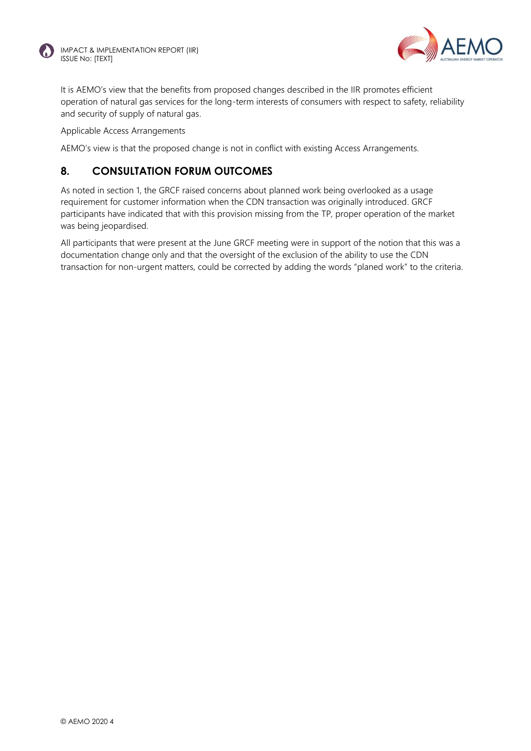



It is AEMO's view that the benefits from proposed changes described in the IIR promotes efficient operation of natural gas services for the long-term interests of consumers with respect to safety, reliability and security of supply of natural gas.

Applicable Access Arrangements

AEMO's view is that the proposed change is not in conflict with existing Access Arrangements.

## **8. CONSULTATION FORUM OUTCOMES**

As noted in section 1, the GRCF raised concerns about planned work being overlooked as a usage requirement for customer information when the CDN transaction was originally introduced. GRCF participants have indicated that with this provision missing from the TP, proper operation of the market was being jeopardised.

All participants that were present at the June GRCF meeting were in support of the notion that this was a documentation change only and that the oversight of the exclusion of the ability to use the CDN transaction for non-urgent matters, could be corrected by adding the words "planed work" to the criteria.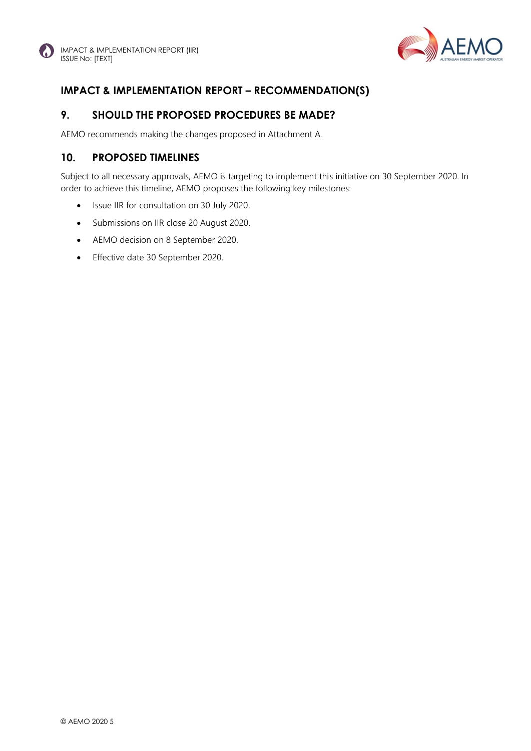

# **IMPACT & IMPLEMENTATION REPORT – RECOMMENDATION(S)**

## **9. SHOULD THE PROPOSED PROCEDURES BE MADE?**

AEMO recommends making the changes proposed in Attachment A.

# **10. PROPOSED TIMELINES**

Subject to all necessary approvals, AEMO is targeting to implement this initiative on 30 September 2020. In order to achieve this timeline, AEMO proposes the following key milestones:

- Issue IIR for consultation on 30 July 2020.
- Submissions on IIR close 20 August 2020.
- AEMO decision on 8 September 2020.
- Effective date 30 September 2020.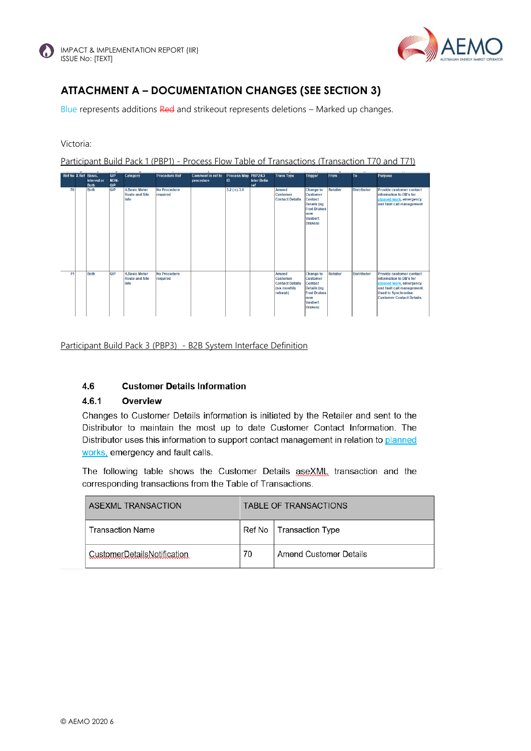



# **ATTACHMENT A – DOCUMENTATION CHANGES (SEE SECTION 3)**

Blue represents additions Red and strikeout represents deletions – Marked up changes.

#### Victoria:

Participant Build Pack 1 (PBP1) - Process Flow Table of Transactions (Transaction T70 and T71)

| Ref No X Ref Basic, | Interval or<br><b>Both</b> | <b>GIP</b><br>NON-<br><b>GIP</b> | Category                                              | <b>Procedure Ref</b>            | <b>Comment in ref to</b><br>procedure | Process Map PBP2&3<br>ID | <b>Inter Defin</b><br>ref | <b>Trans Type</b>                                                              | Trigger                                                                                                                               | From            | <b>To</b>          | <b>Purpose</b>                                                                                                                                                                        |
|---------------------|----------------------------|----------------------------------|-------------------------------------------------------|---------------------------------|---------------------------------------|--------------------------|---------------------------|--------------------------------------------------------------------------------|---------------------------------------------------------------------------------------------------------------------------------------|-----------------|--------------------|---------------------------------------------------------------------------------------------------------------------------------------------------------------------------------------|
| 70                  | <b>Both</b>                | GIP                              | <b>4.Basic Meter</b><br><b>Route and Site</b><br>Info | <b>No Procedure</b><br>required |                                       | $3.2$ (c)-3.6            |                           | <b>Amend</b><br><b>Customer</b><br><b>Contact Details</b>                      | <b>Change to</b><br><b>Customer</b><br><b>Contact</b><br><b>Details</b> (eg<br><b>Fred Drakes</b><br>now<br><b>Vasbert</b><br>Drakes) | <b>Retailer</b> | <b>Distributor</b> | <b>Provide customer contact</b><br>information to DB's for<br>planned work, emergency<br>and fault call management                                                                    |
| 71                  | <b>Both</b>                | <b>GIP</b>                       | <b>4.Basic Meter</b><br><b>Route and Site</b><br>Info | <b>No Procedure</b><br>required |                                       |                          |                           | Amend<br><b>Customer</b><br><b>Contact Details</b><br>(six monthly<br>refresh) | <b>Change to</b><br><b>Customer</b><br><b>Contact</b><br><b>Details (eg</b><br><b>Fred Drakes</b><br>now<br><b>Vasbert</b><br>Drakes) | <b>Retailer</b> | <b>Distributor</b> | <b>Provide customer contact</b><br>information to DB's for<br>planned work, emergency<br>and fault call management.<br><b>Used to Synchronise</b><br><b>Customer Contact Details.</b> |

Participant Build Pack 3 (PBP3) - B2B System Interface Definition

#### $4.6$ **Customer Details Information**

#### 4.6.1 Overview

Changes to Customer Details information is initiated by the Retailer and sent to the Distributor to maintain the most up to date Customer Contact Information. The Distributor uses this information to support contact management in relation to planned works, emergency and fault calls.

The following table shows the Customer Details aseXML transaction and the corresponding transactions from the Table of Transactions.

| ASEXML TRANSACTION          | TABLE OF TRANSACTIONS |                           |  |
|-----------------------------|-----------------------|---------------------------|--|
| <b>Transaction Name</b>     |                       | Ref No   Transaction Type |  |
| CustomerDetailsNotification | 70                    | Amend Customer Details    |  |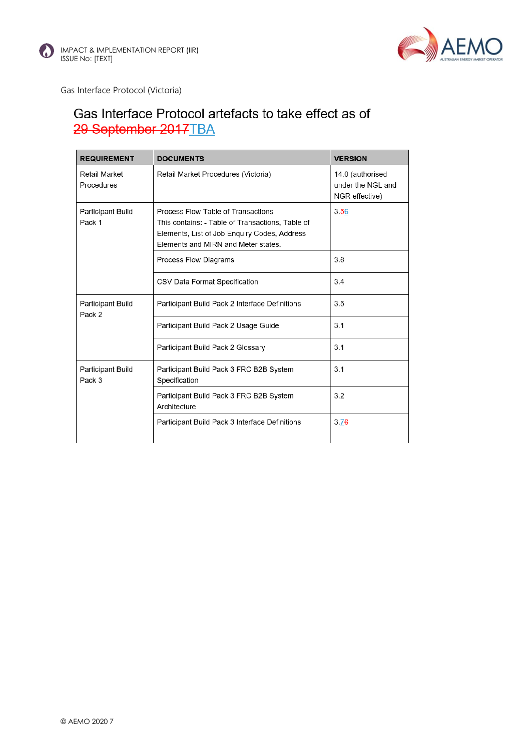



Gas Interface Protocol (Victoria)

# Gas Interface Protocol artefacts to take effect as of 29 September 2017TBA

| <b>REQUIREMENT</b>          | <b>DOCUMENTS</b>                                                                                                                                                              | <b>VERSION</b>                                          |
|-----------------------------|-------------------------------------------------------------------------------------------------------------------------------------------------------------------------------|---------------------------------------------------------|
| Retail Market<br>Procedures | Retail Market Procedures (Victoria)                                                                                                                                           | 14.0 (authorised<br>under the NGL and<br>NGR effective) |
| Participant Build<br>Pack 1 | Process Flow Table of Transactions<br>This contains: - Table of Transactions, Table of<br>Elements, List of Job Enquiry Codes, Address<br>Elements and MIRN and Meter states. | 3.56                                                    |
|                             | Process Flow Diagrams                                                                                                                                                         | 3.6                                                     |
|                             | CSV Data Format Specification                                                                                                                                                 | 3.4                                                     |
| Participant Build<br>Pack 2 | Participant Build Pack 2 Interface Definitions                                                                                                                                | 3.5                                                     |
|                             | Participant Build Pack 2 Usage Guide                                                                                                                                          | 3.1                                                     |
|                             | Participant Build Pack 2 Glossary                                                                                                                                             | 3.1                                                     |
| Participant Build<br>Pack 3 | Participant Build Pack 3 FRC B2B System<br>Specification                                                                                                                      | 3.1                                                     |
|                             | Participant Build Pack 3 FRC B2B System<br>Architecture                                                                                                                       | 3.2                                                     |
|                             | Participant Build Pack 3 Interface Definitions                                                                                                                                | 3.76                                                    |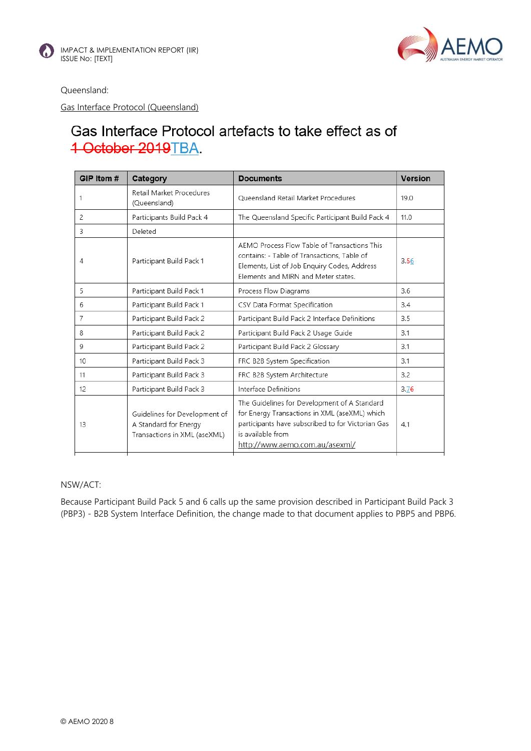



Queensland:

Gas Interface Protocol (Queensland)

# Gas Interface Protocol artefacts to take effect as of 1 October 2019TBA

| GIP Item #       | Category                                                                               | <b>Documents</b>                                                                                                                                                                                          | <b>Version</b> |
|------------------|----------------------------------------------------------------------------------------|-----------------------------------------------------------------------------------------------------------------------------------------------------------------------------------------------------------|----------------|
| 1                | Retail Market Procedures<br>(Queensland)                                               | Oueensland Retail Market Procedures                                                                                                                                                                       | 19.0           |
| 2                | Participants Build Pack 4                                                              | The Queensland Specific Participant Build Pack 4                                                                                                                                                          | 11.0           |
| 3                | Deleted                                                                                |                                                                                                                                                                                                           |                |
| 4                | Participant Build Pack 1                                                               | AEMO Process Flow Table of Transactions This<br>contains: - Table of Transactions, Table of<br>Elements, List of Job Enquiry Codes, Address<br>Elements and MIRN and Meter states.                        | 3.56           |
| 5                | Participant Build Pack 1                                                               | Process Flow Diagrams                                                                                                                                                                                     | 3.6            |
| 6                | Participant Build Pack 1                                                               | CSV Data Format Specification                                                                                                                                                                             | 3.4            |
| 7                | Participant Build Pack 2                                                               | Participant Build Pack 2 Interface Definitions                                                                                                                                                            | 3.5            |
| 8                | Participant Build Pack 2                                                               | Participant Build Pack 2 Usage Guide                                                                                                                                                                      | 3.1            |
| 9                | Participant Build Pack 2                                                               | Participant Build Pack 2 Glossary                                                                                                                                                                         | 3.1            |
| 10 <sup>10</sup> | Participant Build Pack 3                                                               | FRC B2B System Specification                                                                                                                                                                              | 3.1            |
| 11               | Participant Build Pack 3                                                               | FRC B2B System Architecture                                                                                                                                                                               | 3.2            |
| 12               | Participant Build Pack 3                                                               | Interface Definitions                                                                                                                                                                                     | 3.76           |
| 13               | Guidelines for Development of<br>A Standard for Energy<br>Transactions in XML (aseXML) | The Guidelines for Development of A Standard<br>for Energy Transactions in XML (aseXML) which<br>participants have subscribed to for Victorian Gas<br>is available from<br>http://www.aemo.com.au/asexml/ | 4.1            |

#### NSW/ACT:

Because Participant Build Pack 5 and 6 calls up the same provision described in Participant Build Pack 3 (PBP3) - B2B System Interface Definition, the change made to that document applies to PBP5 and PBP6.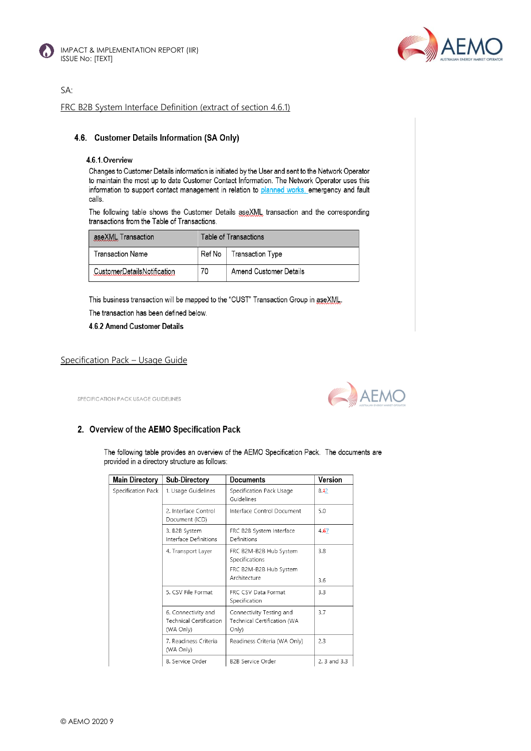

![](_page_8_Picture_2.jpeg)

SA:

FRC B2B System Interface Definition (extract of section 4.6.1)

#### 4.6. Customer Details Information (SA Only)

#### 4.6.1. Overview

Changes to Customer Details information is initiated by the User and sent to the Network Operator to maintain the most up to date Customer Contact Information. The Network Operator uses this information to support contact management in relation to planned works, emergency and fault calls.

The following table shows the Customer Details aseXML transaction and the corresponding transactions from the Table of Transactions.

| aseXML Transaction          | Table of Transactions |                           |  |
|-----------------------------|-----------------------|---------------------------|--|
| Transaction Name            |                       | Ref No   Transaction Type |  |
| CustomerDetailsNotification | 70                    | Amend Customer Details    |  |

This business transaction will be mapped to the "CUST" Transaction Group in aseXML.

The transaction has been defined below.

4.6.2 Amend Customer Details

#### Specification Pack – Usage Guide

SPECIFICATION PACK USAGE GUIDELINES

![](_page_8_Picture_15.jpeg)

#### 2. Overview of the AEMO Specification Pack

The following table provides an overview of the AEMO Specification Pack. The documents are provided in a directory structure as follows:

| <b>Main Directory</b> | Sub-Directory                                                      | Documents                                                                          | Version      |
|-----------------------|--------------------------------------------------------------------|------------------------------------------------------------------------------------|--------------|
| Specification Pack    | 1. Usage Guidelines                                                | Specification Pack Usage<br>Guidelines                                             | 8.42         |
|                       | 2. Interface Control<br>Document (ICD)                             | Interface Control Document                                                         | 5.0          |
|                       | 3. B2B System<br>Interface Definitions                             | FRC B2B System Interface<br>Definitions                                            | 4.67         |
|                       | 4. Transport Layer                                                 | FRC B2M-B2B Hub System<br>Specifications<br>FRC B2M-B2B Hub System<br>Architecture | 3.8<br>3.6   |
|                       | 5. CSV File Format                                                 | FRC CSV Data Format<br>Specification                                               | 3.3          |
|                       | 6. Connectivity and<br><b>Technical Certification</b><br>(WA Only) | Connectivity Testing and<br>Technical Certification (WA<br>Only)                   | 3.7          |
|                       | 7. Readiness Criteria<br>(WA Only)                                 | Readiness Criteria (WA Only)                                                       | 2.3          |
|                       | 8. Service Order                                                   | <b>B2B Service Order</b>                                                           | 2. 3 and 3.3 |